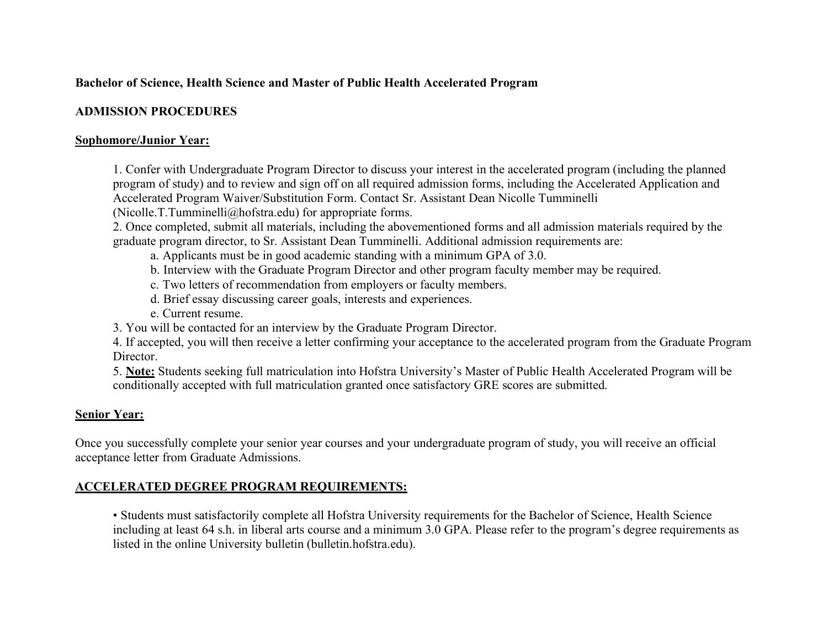# **Bachelor of Science, Health Science and Master of Public Health Accelerated Program**

#### **ADMISSION PROCEDURES**

#### **Sophomore/Junior Year:**

 1. Confer with Undergraduate Program Director to discuss your interest in the accelerated program (including the planned program of study) and to review and sign off on all required admission forms, including the Accelerated Application and Accelerated Program Waiver/Substitution Form. Contact Sr. Assistant Dean Nicolle Tumminelli

([Nicolle.T.Tumminelli@hofstra.edu](mailto:Nicolle.T.Tumminelli@hofstra.edu)) for appropriate forms.

 2. Once completed, submit all materials, including the abovementioned forms and all admission materials required by the graduate program director, to Sr. Assistant Dean Tumminelli. Additional admission requirements are:

- a. Applicants must be in good academic standing with a minimum GPA of 3.0.
- b. Interview with the Graduate Program Director and other program faculty member may be required.
- c. Two letters of recommendation from employers or faculty members.
- d. Brief essay discussing career goals, interests and experiences.
- e. Current resume.
- 3. You will be contacted for an interview by the Graduate Program Director.

 4. If accepted, you will then receive a letter confirming your acceptance to the accelerated program from the Graduate Program Director.

Director.<br>5. **Note:** Students seeking full matriculation into Hofstra University's Master of Public Health Accelerated Program will be conditionally accepted with full matriculation granted once satisfactory GRE scores are submitted.

## **Senior Year:**

 Once you successfully complete your senior year courses and your undergraduate program of study, you will receive an official acceptance letter from Graduate Admissions.

## **ACCELERATED DEGREE PROGRAM REQUIREMENTS:**

 • Students must satisfactorily complete all Hofstra University requirements for the Bachelor of Science, Health Science including at least 64 s.h. in liberal arts course and a minimum 3.0 GPA. Please refer to the program's degree requirements as listed in the online University bulletin ([bulletin.hofstra.edu\)](https://bulletin.hofstra.edu).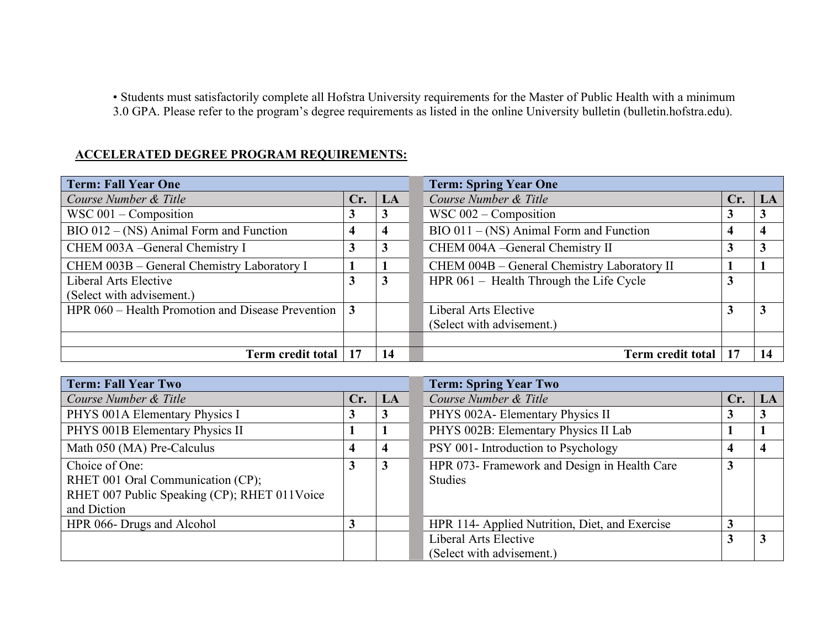• Students must satisfactorily complete all Hofstra University requirements for the Master of Public Health with a minimum 3.0 GPA. Please refer to the program's degree requirements as listed in the online University bulletin [\(bulletin.hofstra.edu\)](https://bulletin.hofstra.edu).

| <b>ACCELERATED DEGREE PROGRAM REQUIREMENTS:</b>   |     |    |                                             |     |                         |
|---------------------------------------------------|-----|----|---------------------------------------------|-----|-------------------------|
| <b>Term: Fall Year One</b>                        |     |    | <b>Term: Spring Year One</b>                |     |                         |
| Course Number & Title                             | Cr. | LA | Course Number & Title                       | Cr. | LA                      |
| $WSC 001 - Composition$                           | 3   | 3  | $WSC 002 - Composition$                     |     | 3                       |
| $BIO 012 - (NS)$ Animal Form and Function         | 4   |    | $BIO 011 - (NS) Animal Form and Function$   |     | $\overline{\mathbf{4}}$ |
| CHEM 003A -General Chemistry I                    | 3   | 3  | CHEM 004A - General Chemistry II            |     | 3                       |
| CHEM 003B - General Chemistry Laboratory I        |     |    | CHEM 004B - General Chemistry Laboratory II |     |                         |
| Liberal Arts Elective                             | 3   | 3  | HPR $061$ – Health Through the Life Cycle   | 3   |                         |
| (Select with advisement.)                         |     |    |                                             |     |                         |
| HPR 060 – Health Promotion and Disease Prevention | 3   |    | Liberal Arts Elective                       |     | 3                       |
|                                                   |     |    | (Select with advisement.)                   |     |                         |
|                                                   |     |    |                                             |     |                         |
| <b>Term credit total</b>                          | 17  | 14 | <b>Term credit total</b>                    |     | 14                      |

| <b>Term: Fall Year Two</b>                   |     |                        | <b>Term: Spring Year Two</b>                   |              |              |
|----------------------------------------------|-----|------------------------|------------------------------------------------|--------------|--------------|
| Course Number & Title                        | Cr. | $\mathbf{L}\mathbf{A}$ | Course Number & Title                          | Cr.          | LA           |
| PHYS 001A Elementary Physics I               | 3   | 3                      | PHYS 002A- Elementary Physics II               | 3            | $\mathbf{3}$ |
| PHYS 001B Elementary Physics II              |     |                        | PHYS 002B: Elementary Physics II Lab           |              |              |
| Math 050 (MA) Pre-Calculus                   | 4   | 4                      | PSY 001- Introduction to Psychology            | 4            | 4            |
| Choice of One:                               | 3   | 3                      | HPR 073- Framework and Design in Health Care   | 3            |              |
| RHET 001 Oral Communication (CP);            |     |                        | <b>Studies</b>                                 |              |              |
| RHET 007 Public Speaking (CP); RHET 011Voice |     |                        |                                                |              |              |
| and Diction                                  |     |                        |                                                |              |              |
| HPR 066- Drugs and Alcohol                   | 3   |                        | HPR 114- Applied Nutrition, Diet, and Exercise | $\mathbf{3}$ |              |
|                                              |     |                        | Liberal Arts Elective                          |              | $\mathbf{3}$ |
|                                              |     |                        | (Select with advisement.)                      |              |              |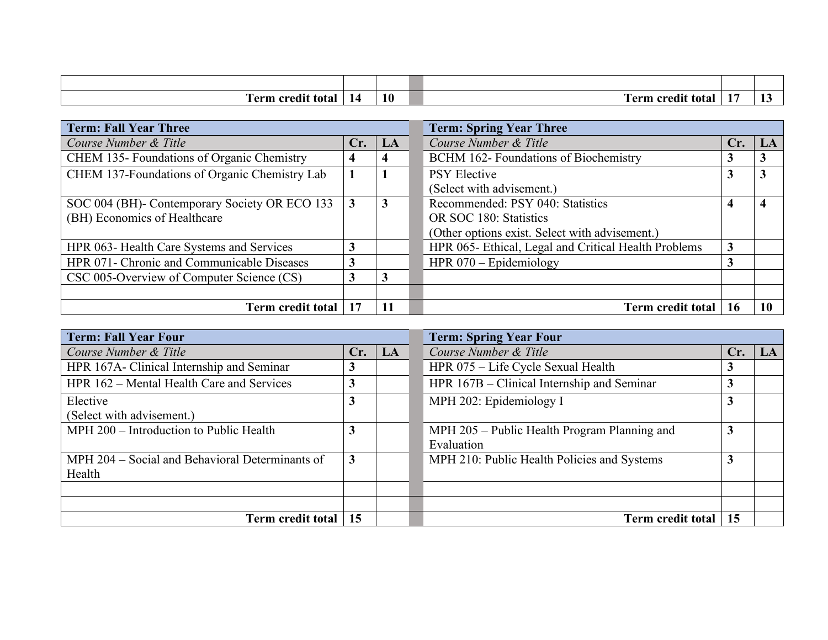| . .<br>m<br>a credit-<br>erm<br>total | 10 | <br>orod<br>erm<br>tota. |  |
|---------------------------------------|----|--------------------------|--|

| <b>Term: Fall Year Three</b>                  |     |              | <b>Term: Spring Year Three</b>                       |     |    |
|-----------------------------------------------|-----|--------------|------------------------------------------------------|-----|----|
| Course Number & Title                         | Cr. | $\mathbf{L}$ | Course Number & Title                                | Cr. | LA |
| CHEM 135- Foundations of Organic Chemistry    | 4   |              | BCHM 162- Foundations of Biochemistry                | J.  | 3  |
| CHEM 137-Foundations of Organic Chemistry Lab |     |              | <b>PSY Elective</b>                                  | 3   | 3  |
|                                               |     |              | (Select with advisement.)                            |     |    |
| SOC 004 (BH)- Contemporary Society OR ECO 133 | 3   | 3            | Recommended: PSY 040: Statistics                     | 4   | 4  |
| (BH) Economics of Healthcare                  |     |              | OR SOC 180: Statistics                               |     |    |
|                                               |     |              | (Other options exist. Select with advisement.)       |     |    |
| HPR 063- Health Care Systems and Services     | 3   |              | HPR 065- Ethical, Legal and Critical Health Problems | 3   |    |
| HPR 071- Chronic and Communicable Diseases    |     |              | HPR $070 -$ Epidemiology                             |     |    |
| CSC 005-Overview of Computer Science (CS)     | 3   | 3            |                                                      |     |    |
|                                               |     |              |                                                      |     |    |
| <b>Term credit total</b>                      | 17  | 11           | <b>Term credit total</b>                             |     |    |

| <b>Term: Fall Year Four</b>                     |              |    | <b>Term: Spring Year Four</b>                |     |    |
|-------------------------------------------------|--------------|----|----------------------------------------------|-----|----|
| Course Number & Title                           | Cr.          | LA | Course Number & Title                        | Cr. | LA |
| HPR 167A- Clinical Internship and Seminar       | 3            |    | HPR 075 - Life Cycle Sexual Health           |     |    |
| HPR 162 – Mental Health Care and Services       | 3            |    | HPR 167B – Clinical Internship and Seminar   |     |    |
| Elective                                        | 3            |    | MPH 202: Epidemiology I                      |     |    |
| (Select with advisement.)                       |              |    |                                              |     |    |
| MPH 200 - Introduction to Public Health         | 3            |    | MPH 205 – Public Health Program Planning and |     |    |
|                                                 |              |    | Evaluation                                   |     |    |
| MPH 204 – Social and Behavioral Determinants of | $\mathbf{3}$ |    | MPH 210: Public Health Policies and Systems  |     |    |
| Health                                          |              |    |                                              |     |    |
|                                                 |              |    |                                              |     |    |
|                                                 |              |    |                                              |     |    |
| Term credit total                               | 15           |    | Term credit total                            | 15  |    |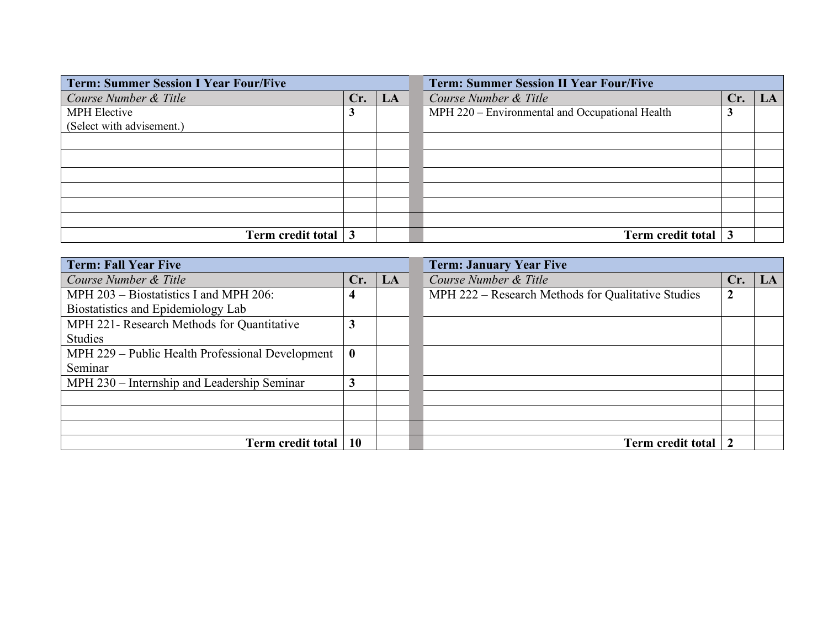| <b>Term: Summer Session I Year Four/Five</b> |     |    | <b>Term: Summer Session II Year Four/Five</b><br>Course Number & Title<br>Cr.<br>MPH 220 - Environmental and Occupational Health<br>3 |  |    |
|----------------------------------------------|-----|----|---------------------------------------------------------------------------------------------------------------------------------------|--|----|
| Course Number & Title                        | Cr. | LA |                                                                                                                                       |  | LA |
| <b>MPH Elective</b>                          | 3   |    |                                                                                                                                       |  |    |
| (Select with advisement.)                    |     |    |                                                                                                                                       |  |    |
|                                              |     |    |                                                                                                                                       |  |    |
|                                              |     |    |                                                                                                                                       |  |    |
|                                              |     |    |                                                                                                                                       |  |    |
|                                              |     |    |                                                                                                                                       |  |    |
|                                              |     |    |                                                                                                                                       |  |    |
|                                              |     |    |                                                                                                                                       |  |    |
| Term credit total $\vert 3 \vert$            |     |    | Term credit total 3                                                                                                                   |  |    |

| <b>Term: Fall Year Five</b>                      |           |    | <b>Term: January Year Five</b>                     |     |    |  |  |
|--------------------------------------------------|-----------|----|----------------------------------------------------|-----|----|--|--|
| Course Number & Title                            | Cr.       | LA | Course Number & Title                              | Cr. | LA |  |  |
| MPH 203 – Biostatistics I and MPH 206:           | 4         |    | MPH 222 – Research Methods for Qualitative Studies | 2   |    |  |  |
| Biostatistics and Epidemiology Lab               |           |    |                                                    |     |    |  |  |
| MPH 221- Research Methods for Quantitative       | 3         |    |                                                    |     |    |  |  |
| <b>Studies</b>                                   |           |    |                                                    |     |    |  |  |
| MPH 229 – Public Health Professional Development | $\bf{0}$  |    |                                                    |     |    |  |  |
| Seminar                                          |           |    |                                                    |     |    |  |  |
| MPH 230 – Internship and Leadership Seminar      | 3         |    |                                                    |     |    |  |  |
|                                                  |           |    |                                                    |     |    |  |  |
|                                                  |           |    |                                                    |     |    |  |  |
|                                                  |           |    |                                                    |     |    |  |  |
| <b>Term credit total</b>                         | <b>10</b> |    | Term credit total                                  |     |    |  |  |